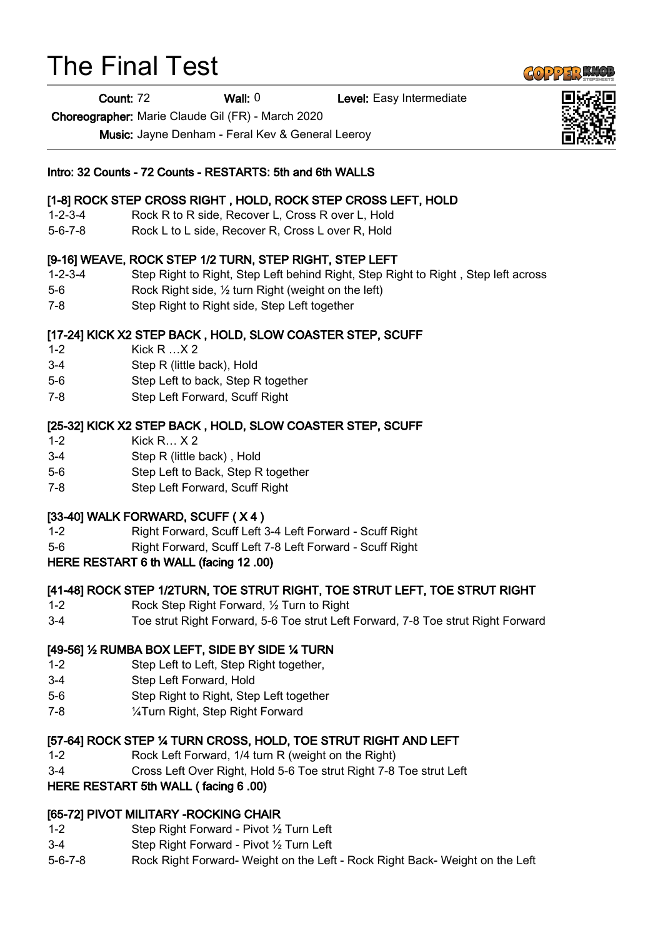# The Final Test

Count: 72 Wall: 0 Level: Easy Intermediate

Choreographer: Marie Claude Gil (FR) - March 2020

Music: Jayne Denham - Feral Kev & General Leeroy

#### Intro: 32 Counts - 72 Counts - RESTARTS: 5th and 6th WALLS

### [1-8] ROCK STEP CROSS RIGHT , HOLD, ROCK STEP CROSS LEFT, HOLD

- 1-2-3-4 Rock R to R side, Recover L, Cross R over L, Hold
- 5-6-7-8 Rock L to L side, Recover R, Cross L over R, Hold

#### [9-16] WEAVE, ROCK STEP 1/2 TURN, STEP RIGHT, STEP LEFT

- 1-2-3-4 Step Right to Right, Step Left behind Right, Step Right to Right , Step left across
- 5-6 Rock Right side, ½ turn Right (weight on the left)
- 7-8 Step Right to Right side, Step Left together

#### [17-24] KICK X2 STEP BACK , HOLD, SLOW COASTER STEP, SCUFF

- 1-2 Kick R …X 2
- 3-4 Step R (little back), Hold
- 5-6 Step Left to back, Step R together
- 7-8 Step Left Forward, Scuff Right

#### [25-32] KICK X2 STEP BACK , HOLD, SLOW COASTER STEP, SCUFF

- 1-2 Kick R… X 2
- 3-4 Step R (little back) , Hold
- 5-6 Step Left to Back, Step R together
- 7-8 Step Left Forward, Scuff Right

#### [33-40] WALK FORWARD, SCUFF ( X 4 )

- 1-2 Right Forward, Scuff Left 3-4 Left Forward Scuff Right
- 5-6 Right Forward, Scuff Left 7-8 Left Forward Scuff Right
- HERE RESTART 6 th WALL (facing 12 .00)

#### [41-48] ROCK STEP 1/2TURN, TOE STRUT RIGHT, TOE STRUT LEFT, TOE STRUT RIGHT

- 1-2 Rock Step Right Forward, ½ Turn to Right
- 3-4 Toe strut Right Forward, 5-6 Toe strut Left Forward, 7-8 Toe strut Right Forward

#### [49-56] ½ RUMBA BOX LEFT, SIDE BY SIDE ¼ TURN

- 1-2 Step Left to Left, Step Right together,
- 3-4 Step Left Forward, Hold
- 5-6 Step Right to Right, Step Left together
- 7-8 ¼Turn Right, Step Right Forward

#### [57-64] ROCK STEP ¼ TURN CROSS, HOLD, TOE STRUT RIGHT AND LEFT

- 1-2 Rock Left Forward, 1/4 turn R (weight on the Right)
- 3-4 Cross Left Over Right, Hold 5-6 Toe strut Right 7-8 Toe strut Left

## HERE RESTART 5th WALL ( facing 6 .00)

## [65-72] PIVOT MILITARY -ROCKING CHAIR

- 1-2 Step Right Forward Pivot ½ Turn Left
- 3-4 Step Right Forward Pivot ½ Turn Left
- 5-6-7-8 Rock Right Forward- Weight on the Left Rock Right Back- Weight on the Left